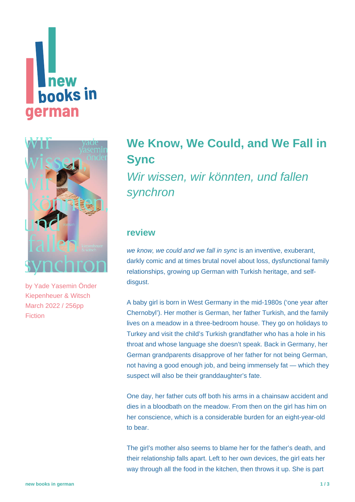# new **books** in **german**



by [Yade Yasemin Önder](https://www.new-books-in-german.com/recommendations/?searchInput=Yade%20Yasemin%20%C3%96nder) Kiepenheuer & Witsch March 2022 / 256pp Fiction

## **[We Know, We Could, and We Fall in](https://www.new-books-in-german.com/recommendations/fall-in-sync/) [Sync](https://www.new-books-in-german.com/recommendations/fall-in-sync/)**

Wir wissen, wir könnten, und fallen synchron

#### **review**

we know, we could and we fall in sync is an inventive, exuberant, darkly comic and at times brutal novel about loss, dysfunctional family relationships, growing up German with Turkish heritage, and selfdisgust.

A baby girl is born in West Germany in the mid-1980s ('one year after Chernobyl'). Her mother is German, her father Turkish, and the family lives on a meadow in a three-bedroom house. They go on holidays to Turkey and visit the child's Turkish grandfather who has a hole in his throat and whose language she doesn't speak. Back in Germany, her German grandparents disapprove of her father for not being German, not having a good enough job, and being immensely fat — which they suspect will also be their granddaughter's fate.

One day, her father cuts off both his arms in a chainsaw accident and dies in a bloodbath on the meadow. From then on the girl has him on her conscience, which is a considerable burden for an eight-year-old to bear.

The girl's mother also seems to blame her for the father's death, and their relationship falls apart. Left to her own devices, the girl eats her way through all the food in the kitchen, then throws it up. She is part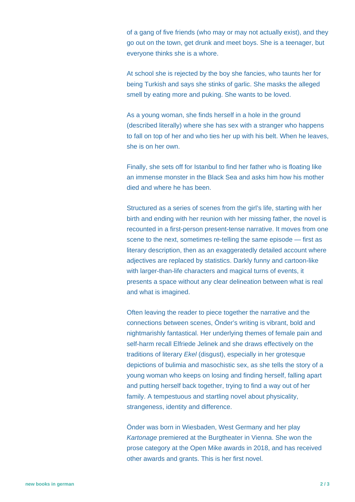of a gang of five friends (who may or may not actually exist), and they go out on the town, get drunk and meet boys. She is a teenager, but everyone thinks she is a whore.

At school she is rejected by the boy she fancies, who taunts her for being Turkish and says she stinks of garlic. She masks the alleged smell by eating more and puking. She wants to be loved.

As a young woman, she finds herself in a hole in the ground (described literally) where she has sex with a stranger who happens to fall on top of her and who ties her up with his belt. When he leaves, she is on her own.

Finally, she sets off for Istanbul to find her father who is floating like an immense monster in the Black Sea and asks him how his mother died and where he has been.

Structured as a series of scenes from the girl's life, starting with her birth and ending with her reunion with her missing father, the novel is recounted in a first-person present-tense narrative. It moves from one scene to the next, sometimes re-telling the same episode — first as literary description, then as an exaggeratedly detailed account where adjectives are replaced by statistics. Darkly funny and cartoon-like with larger-than-life characters and magical turns of events, it presents a space without any clear delineation between what is real and what is imagined.

Often leaving the reader to piece together the narrative and the connections between scenes, Önder's writing is vibrant, bold and nightmarishly fantastical. Her underlying themes of female pain and self-harm recall Elfriede Jelinek and she draws effectively on the traditions of literary Ekel (disgust), especially in her grotesque depictions of bulimia and masochistic sex, as she tells the story of a young woman who keeps on losing and finding herself, falling apart and putting herself back together, trying to find a way out of her family. A tempestuous and startling novel about physicality, strangeness, identity and difference.

Önder was born in Wiesbaden, West Germany and her play Kartonage premiered at the Burgtheater in Vienna. She won the prose category at the Open Mike awards in 2018, and has received other awards and grants. This is her first novel.